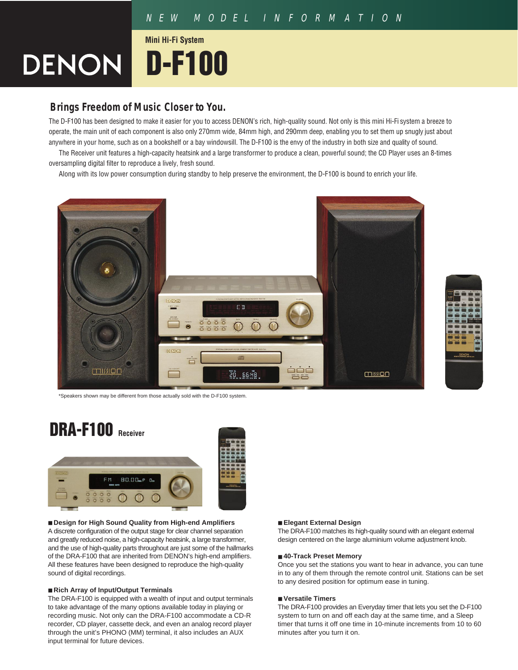# NEW MODEL INFORMATION

# **DENON D-F100 Mini Hi-Fi System**

# **Brings Freedom of Music Closer to You.**

The D-F100 has been designed to make it easier for you to access DENON's rich, high-quality sound. Not only is this mini Hi-Fi system a breeze to operate, the main unit of each component is also only 270mm wide, 84mm high, and 290mm deep, enabling you to set them up snugly just about anywhere in your home, such as on a bookshelf or a bay windowsill. The D-F100 is the envy of the industry in both size and quality of sound.

The Receiver unit features a high-capacity heatsink and a large transformer to produce a clean, powerful sound; the CD Player uses an 8-times oversampling digital filter to reproduce a lively, fresh sound.

Along with its low power consumption during standby to help preserve the environment, the D-F100 is bound to enrich your life.





\*Speakers shown may be different from those actually sold with the D-F100 system.



# ■ **Design for High Sound Quality from High-end Amplifiers**

A discrete configuration of the output stage for clear channel separation and greatly reduced noise, a high-capacity heatsink, a large transformer, and the use of high-quality parts throughout are just some of the hallmarks of the DRA-F100 that are inherited from DENON's high-end amplifiers. All these features have been designed to reproduce the high-quality sound of digital recordings.

# ■ **Rich Array of Input/Output Terminals**

The DRA-F100 is equipped with a wealth of input and output terminals to take advantage of the many options available today in playing or recording music. Not only can the DRA-F100 accommodate a CD-R recorder, CD player, cassette deck, and even an analog record player through the unit's PHONO (MM) terminal, it also includes an AUX input terminal for future devices.

# ■ **Elegant External Design**

The DRA-F100 matches its high-quality sound with an elegant external design centered on the large aluminium volume adjustment knob.

## ■ **40-Track Preset Memory**

Once you set the stations you want to hear in advance, you can tune in to any of them through the remote control unit. Stations can be set to any desired position for optimum ease in tuning.

# ■ **Versatile Timers**

The DRA-F100 provides an Everyday timer that lets you set the D-F100 system to turn on and off each day at the same time, and a Sleep timer that turns it off one time in 10-minute increments from 10 to 60 minutes after you turn it on.